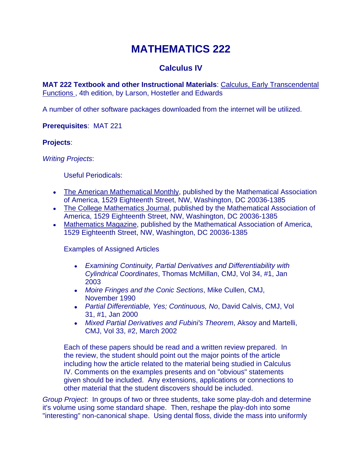# **MATHEMATICS 222**

## **Calculus IV**

**MAT 222 Textbook and other Instructional Materials**: Calculus, Early Transcendental Functions , 4th edition, by Larson, Hostetler and Edwards

A number of other software packages downloaded from the internet will be utilized.

**Prerequisites**: MAT 221

### **Projects**:

*Writing Projects*:

Useful Periodicals:

- The American Mathematical Monthly, published by the Mathematical Association of America, 1529 Eighteenth Street, NW, Washington, DC 20036-1385
- The College Mathematics Journal, published by the Mathematical Association of America, 1529 Eighteenth Street, NW, Washington, DC 20036-1385
- Mathematics Magazine, published by the Mathematical Association of America, 1529 Eighteenth Street, NW, Washington, DC 20036-1385

Examples of Assigned Articles

- *Examining Continuity, Partial Derivatives and Differentiability with Cylindrical Coordinates*, Thomas McMillan, CMJ, Vol 34, #1, Jan 2003
- *Moire Fringes and the Conic Sections*, Mike Cullen, CMJ, November 1990
- *Partial Differentiable, Yes; Continuous, No*, David Calvis, CMJ, Vol 31, #1, Jan 2000
- *Mixed Partial Derivatives and Fubini's Theorem*, Aksoy and Martelli, CMJ, Vol 33, #2, March 2002

Each of these papers should be read and a written review prepared. In the review, the student should point out the major points of the article including how the article related to the material being studied in Calculus IV. Comments on the examples presents and on "obvious" statements given should be included. Any extensions, applications or connections to other material that the student discovers should be included.

*Group Project*: In groups of two or three students, take some play-doh and determine it's volume using some standard shape. Then, reshape the play-doh into some "interesting" non-canonical shape. Using dental floss, divide the mass into uniformly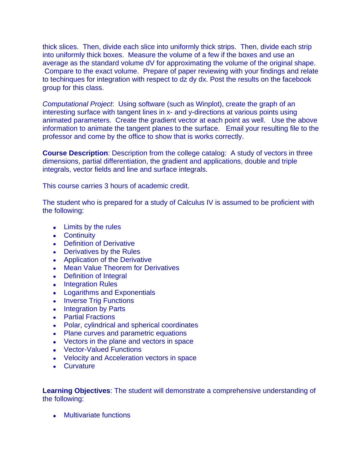thick slices. Then, divide each slice into uniformly thick strips. Then, divide each strip into uniformly thick boxes. Measure the volume of a few if the boxes and use an average as the standard volume dV for approximating the volume of the original shape. Compare to the exact volume. Prepare of paper reviewing with your findings and relate to techinques for integration with respect to dz dy dx. Post the results on the facebook group for this class.

*Computational Project*: Using software (such as Winplot), create the graph of an interesting surface with tangent lines in x- and y-directions at various points using animated parameters. Create the gradient vector at each point as well. Use the above information to animate the tangent planes to the surface. Email your resulting file to the professor and come by the office to show that is works correctly.

**Course Description:** Description from the college catalog: A study of vectors in three dimensions, partial differentiation, the gradient and applications, double and triple integrals, vector fields and line and surface integrals.

This course carries 3 hours of academic credit.

The student who is prepared for a study of Calculus IV is assumed to be proficient with the following:

- Limits by the rules
- Continuity
- Definition of Derivative
- Derivatives by the Rules
- Application of the Derivative
- Mean Value Theorem for Derivatives
- Definition of Integral
- Integration Rules
- Logarithms and Exponentials
- Inverse Trig Functions
- Integration by Parts
- Partial Fractions
- Polar, cylindrical and spherical coordinates
- Plane curves and parametric equations
- Vectors in the plane and vectors in space
- Vector-Valued Functions
- Velocity and Acceleration vectors in space
- Curvature

**Learning Objectives**: The student will demonstrate a comprehensive understanding of the following:

Multivariate functions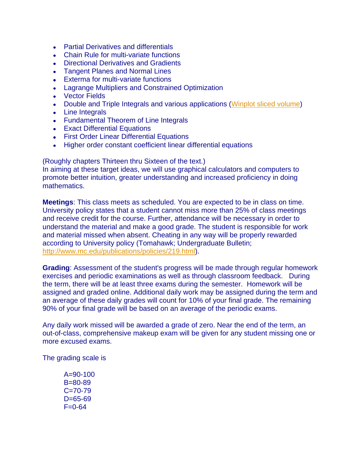- Partial Derivatives and differentials
- Chain Rule for multi-variate functions
- Directional Derivatives and Gradients
- Tangent Planes and Normal Lines
- Exterma for multi-variate functions
- Lagrange Multipliers and Constrained Optimization
- Vector Fields
- Double and Triple Integrals and various applications (Winplot [sliced volume\)](file://MRWEB/WEB/CAMPUS/USERS/TRAVIS/syllabi/222/SlicedVolume.wp3)
- Line Integrals
- Fundamental Theorem of Line Integrals
- Exact Differential Equations
- First Order Linear Differential Equations
- Higher order constant coefficient linear differential equations

(Roughly chapters Thirteen thru Sixteen of the text.)

In aiming at these target ideas, we will use graphical calculators and computers to promote better intuition, greater understanding and increased proficiency in doing mathematics.

**Meetings**: This class meets as scheduled. You are expected to be in class on time. University policy states that a student cannot miss more than 25% of class meetings and receive credit for the course. Further, attendance will be necessary in order to understand the material and make a good grade. The student is responsible for work and material missed when absent. Cheating in any way will be properly rewarded according to University policy (Tomahawk; Undergraduate Bulletin; [http://www.mc.edu/publications/policies/219.html\)](http://www.mc.edu/publications/policies/219.html).

**Grading**: Assessment of the student's progress will be made through regular homework exercises and periodic examinations as well as through classroom feedback. During the term, there will be at least three exams during the semester. Homework will be assigned and graded online. Additional daily work may be assigned during the term and an average of these daily grades will count for 10% of your final grade. The remaining 90% of your final grade will be based on an average of the periodic exams.

Any daily work missed will be awarded a grade of zero. Near the end of the term, an out-of-class, comprehensive makeup exam will be given for any student missing one or more excused exams.

The grading scale is

 $A = 90 - 100$ B=80-89 C=70-79  $D=65-69$  $F = 0.64$